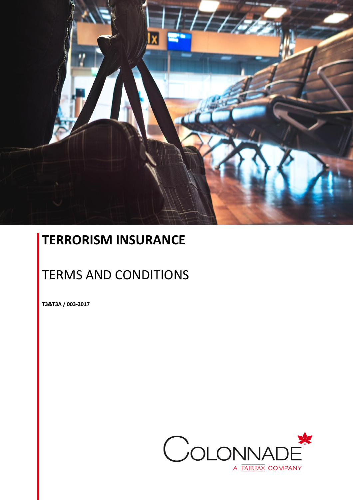

## **TERRORISM INSURANCE**

# TERMS AND CONDITIONS

**T3&T3A / 003-2017**

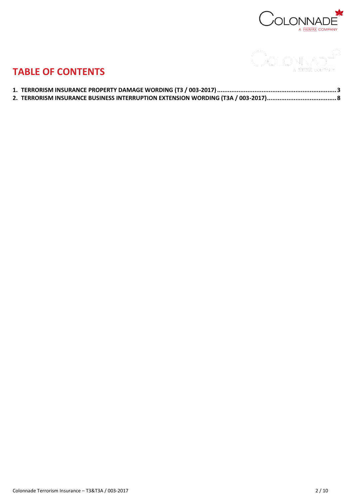

### **TABLE OF CONTENTS**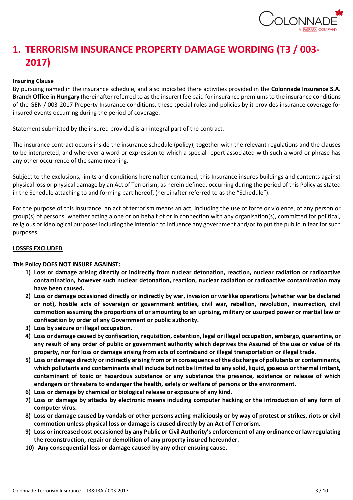

### <span id="page-2-0"></span>**1. TERRORISM INSURANCE PROPERTY DAMAGE WORDING (T3 / 003- 2017)**

#### **Insuring Clause**

By pursuing named in the insurance schedule, and also indicated there activities provided in the **Colonnade Insurance S.A. Branch Office in Hungary** (hereinafter referred to as the insurer) fee paid for insurance premiums to the insurance conditions of the GEN / 003-2017 Property Insurance conditions, these special rules and policies by it provides insurance coverage for insured events occurring during the period of coverage.

Statement submitted by the insured provided is an integral part of the contract.

The insurance contract occurs inside the insurance schedule (policy), together with the relevant regulations and the clauses to be interpreted, and wherever a word or expression to which a special report associated with such a word or phrase has any other occurrence of the same meaning.

Subject to the exclusions, limits and conditions hereinafter contained, this Insurance insures buildings and contents against physical loss or physical damage by an Act of Terrorism, as herein defined, occurring during the period of this Policy as stated in the Schedule attaching to and forming part hereof, (hereinafter referred to as the "Schedule").

For the purpose of this Insurance, an act of terrorism means an act, including the use of force or violence, of any person or group(s) of persons, whether acting alone or on behalf of or in connection with any organisation(s), committed for political, religious or ideological purposes including the intention to influence any government and/or to put the public in fear for such purposes.

#### **LOSSES EXCLUDED**

#### **This Policy DOES NOT INSURE AGAINST:**

- **1) Loss or damage arising directly or indirectly from nuclear detonation, reaction, nuclear radiation or radioactive contamination, however such nuclear detonation, reaction, nuclear radiation or radioactive contamination may have been caused.**
- **2) Loss or damage occasioned directly or indirectly by war, invasion or warlike operations (whether war be declared or not), hostile acts of sovereign or government entities, civil war, rebellion, revolution, insurrection, civil commotion assuming the proportions of or amounting to an uprising, military or usurped power or martial law or confiscation by order of any Government or public authority.**
- **3) Loss by seizure or illegal occupation.**
- **4) Loss or damage caused by confiscation, requisition, detention, legal or illegal occupation, embargo, quarantine, or any result of any order of public or government authority which deprives the Assured of the use or value of its property, nor for loss or damage arising from acts of contraband or illegal transportation or illegal trade.**
- **5) Loss or damage directly or indirectly arising from or in consequence of the discharge of pollutants or contaminants, which pollutants and contaminants shall include but not be limited to any solid, liquid, gaseous or thermal irritant, contaminant of toxic or hazardous substance or any substance the presence, existence or release of which endangers or threatens to endanger the health, safety or welfare of persons or the environment.**
- **6) Loss or damage by chemical or biological release or exposure of any kind.**
- **7) Loss or damage by attacks by electronic means including computer hacking or the introduction of any form of computer virus.**
- **8) Loss or damage caused by vandals or other persons acting maliciously or by way of protest or strikes, riots or civil commotion unless physical loss or damage is caused directly by an Act of Terrorism.**
- **9) Loss or increased cost occasioned by any Public or Civil Authority's enforcement of any ordinance or law regulating the reconstruction, repair or demolition of any property insured hereunder.**
- **10) Any consequential loss or damage caused by any other ensuing cause.**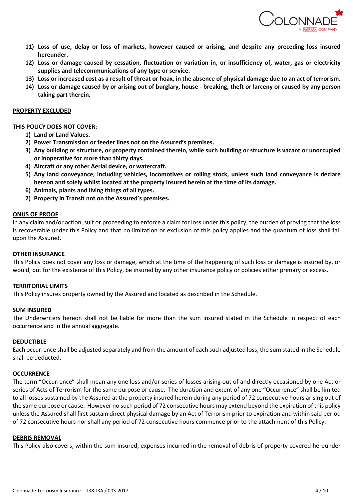

- **11) Loss of use, delay or loss of markets, however caused or arising, and despite any preceding loss insured hereunder.**
- **12) Loss or damage caused by cessation, fluctuation or variation in, or insufficiency of, water, gas or electricity supplies and telecommunications of any type or service.**
- **13) Loss or increased cost as a result of threat or hoax, in the absence of physical damage due to an act of terrorism.**
- **14) Loss or damage caused by or arising out of burglary, house - breaking, theft or larceny or caused by any person taking part therein.**

#### **PROPERTY EXCLUDED**

#### **THIS POLICY DOES NOT COVER:**

- **1) Land or Land Values.**
- **2) Power Transmission or feeder lines not on the Assured's premises.**
- **3) Any building or structure, or property contained therein, while such building or structure is vacant or unoccupied or inoperative for more than thirty days.**
- **4) Aircraft or any other Aerial device, or watercraft.**
- **5) Any land conveyance, including vehicles, locomotives or rolling stock, unless such land conveyance is declare hereon and solely whilst located at the property insured herein at the time of its damage.**
- **6) Animals, plants and living things of all types.**
- **7) Property in Transit not on the Assured's premises.**

#### **ONUS OF PROOF**

In any claim and/or action, suit or proceeding to enforce a claim for loss under this policy, the burden of proving that the loss is recoverable under this Policy and that no limitation or exclusion of this policy applies and the quantum of loss shall fall upon the Assured.

#### **OTHER INSURANCE**

This Policy does not cover any loss or damage, which at the time of the happening of such loss or damage is insured by, or would, but for the existence of this Policy, be insured by any other insurance policy or policies either primary or excess.

#### **TERRITORIAL LIMITS**

This Policy insures property owned by the Assured and located as described in the Schedule.

#### **SUM INSURED**

The Underwriters hereon shall not be liable for more than the sum insured stated in the Schedule in respect of each occurrence and in the annual aggregate.

#### **DEDUCTIBLE**

Each occurrence shall be adjusted separately and from the amount of each such adjusted loss; the sum stated in the Schedule shall be deducted.

#### **OCCURRENCE**

The term "Occurrence" shall mean any one loss and/or series of losses arising out of and directly occasioned by one Act or series of Acts of Terrorism for the same purpose or cause. The duration and extent of any one "Occurrence" shall be limited to all losses sustained by the Assured at the property insured herein during any period of 72 consecutive hours arising out of the same purpose or cause. However no such period of 72 consecutive hours may extend beyond the expiration of this policy unless the Assured shall first sustain direct physical damage by an Act of Terrorism prior to expiration and within said period of 72 consecutive hours nor shall any period of 72 consecutive hours commence prior to the attachment of this Policy.

#### **DEBRIS REMOVAL**

This Policy also covers, within the sum insured, expenses incurred in the removal of debris of property covered hereunder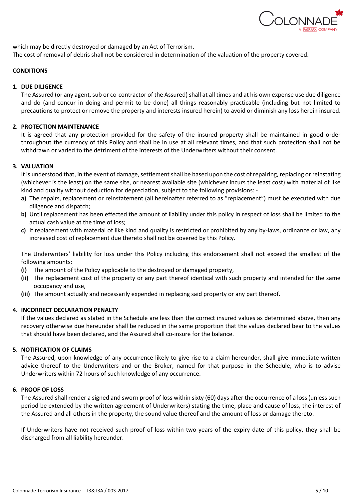

which may be directly destroyed or damaged by an Act of Terrorism.

The cost of removal of debris shall not be considered in determination of the valuation of the property covered.

#### **CONDITIONS**

#### **1. DUE DILIGENCE**

The Assured (or any agent, sub or co-contractor of the Assured) shall at all times and at his own expense use due diligence and do (and concur in doing and permit to be done) all things reasonably practicable (including but not limited to precautions to protect or remove the property and interests insured herein) to avoid or diminish any loss herein insured.

#### **2. PROTECTION MAINTENANCE**

It is agreed that any protection provided for the safety of the insured property shall be maintained in good order throughout the currency of this Policy and shall be in use at all relevant times, and that such protection shall not be withdrawn or varied to the detriment of the interests of the Underwriters without their consent.

#### **3. VALUATION**

It is understood that, in the event of damage, settlement shall be based upon the cost of repairing, replacing or reinstating (whichever is the least) on the same site, or nearest available site (whichever incurs the least cost) with material of like kind and quality without deduction for depreciation, subject to the following provisions: -

- **a)** The repairs, replacement or reinstatement (all hereinafter referred to as "replacement") must be executed with due diligence and dispatch;
- **b)** Until replacement has been effected the amount of liability under this policy in respect of loss shall be limited to the actual cash value at the time of loss;
- **c)** If replacement with material of like kind and quality is restricted or prohibited by any by-laws, ordinance or law, any increased cost of replacement due thereto shall not be covered by this Policy.

The Underwriters' liability for loss under this Policy including this endorsement shall not exceed the smallest of the following amounts:

- **(i)** The amount of the Policy applicable to the destroyed or damaged property,
- **(ii)** The replacement cost of the property or any part thereof identical with such property and intended for the same occupancy and use,
- **(iii)** The amount actually and necessarily expended in replacing said property or any part thereof.

#### **4. INCORRECT DECLARATION PENALTY**

If the values declared as stated in the Schedule are less than the correct insured values as determined above, then any recovery otherwise due hereunder shall be reduced in the same proportion that the values declared bear to the values that should have been declared, and the Assured shall co-insure for the balance.

#### **5. NOTIFICATION OF CLAIMS**

The Assured, upon knowledge of any occurrence likely to give rise to a claim hereunder, shall give immediate written advice thereof to the Underwriters and or the Broker, named for that purpose in the Schedule, who is to advise Underwriters within 72 hours of such knowledge of any occurrence.

#### **6. PROOF OF LOSS**

The Assured shall render a signed and sworn proof of loss within sixty (60) days after the occurrence of a loss (unless such period be extended by the written agreement of Underwriters) stating the time, place and cause of loss, the interest of the Assured and all others in the property, the sound value thereof and the amount of loss or damage thereto.

If Underwriters have not received such proof of loss within two years of the expiry date of this policy, they shall be discharged from all liability hereunder.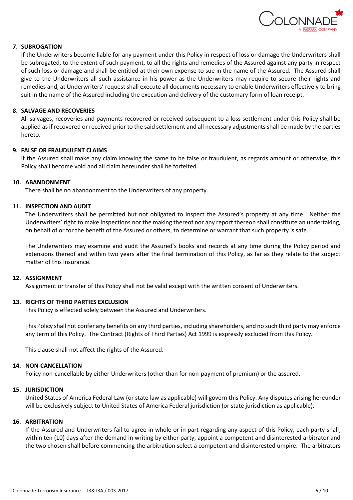

#### **7. SUBROGATION**

If the Underwriters become liable for any payment under this Policy in respect of loss or damage the Underwriters shall be subrogated, to the extent of such payment, to all the rights and remedies of the Assured against any party in respect of such loss or damage and shall be entitled at their own expense to sue in the name of the Assured. The Assured shall give to the Underwriters all such assistance in his power as the Underwriters may require to secure their rights and remedies and, at Underwriters' request shall execute all documents necessary to enable Underwriters effectively to bring suit in the name of the Assured including the execution and delivery of the customary form of loan receipt.

#### **8. SALVAGE AND RECOVERIES**

All salvages, recoveries and payments recovered or received subsequent to a loss settlement under this Policy shall be applied as if recovered or received prior to the said settlement and all necessary adjustments shall be made by the parties hereto.

#### **9. FALSE OR FRAUDULENT CLAIMS**

If the Assured shall make any claim knowing the same to be false or fraudulent, as regards amount or otherwise, this Policy shall become void and all claim hereunder shall be forfeited.

#### **10. ABANDONMENT**

There shall be no abandonment to the Underwriters of any property.

#### **11. INSPECTION AND AUDIT**

The Underwriters shall be permitted but not obligated to inspect the Assured's property at any time. Neither the Underwriters' right to make inspections nor the making thereof nor any report thereon shall constitute an undertaking, on behalf of or for the benefit of the Assured or others, to determine or warrant that such property is safe.

The Underwriters may examine and audit the Assured's books and records at any time during the Policy period and extensions thereof and within two years after the final termination of this Policy, as far as they relate to the subject matter of this Insurance.

#### **12. ASSIGNMENT**

Assignment or transfer of this Policy shall not be valid except with the written consent of Underwriters.

#### **13. RIGHTS OF THIRD PARTIES EXCLUSION**

This Policy is effected solely between the Assured and Underwriters.

This Policy shall not confer any benefits on any third parties, including shareholders, and no such third party may enforce any term of this Policy. The Contract (Rights of Third Parties) Act 1999 is expressly excluded from this Policy.

This clause shall not affect the rights of the Assured.

#### **14. NON-CANCELLATION**

Policy non-cancellable by either Underwriters (other than for non-payment of premium) or the assured.

#### **15. JURISDICTION**

United States of America Federal Law (or state law as applicable) will govern this Policy. Any disputes arising hereunder will be exclusively subject to United States of America Federal jurisdiction (or state jurisdiction as applicable).

#### **16. ARBITRATION**

If the Assured and Underwriters fail to agree in whole or in part regarding any aspect of this Policy, each party shall, within ten (10) days after the demand in writing by either party, appoint a competent and disinterested arbitrator and the two chosen shall before commencing the arbitration select a competent and disinterested umpire. The arbitrators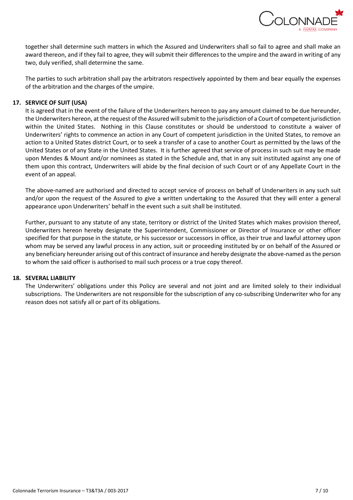

together shall determine such matters in which the Assured and Underwriters shall so fail to agree and shall make an award thereon, and if they fail to agree, they will submit their differences to the umpire and the award in writing of any two, duly verified, shall determine the same.

The parties to such arbitration shall pay the arbitrators respectively appointed by them and bear equally the expenses of the arbitration and the charges of the umpire.

#### **17. SERVICE OF SUIT (USA)**

It is agreed that in the event of the failure of the Underwriters hereon to pay any amount claimed to be due hereunder, the Underwriters hereon, at the request of the Assured will submit to the jurisdiction of a Court of competent jurisdiction within the United States. Nothing in this Clause constitutes or should be understood to constitute a waiver of Underwriters' rights to commence an action in any Court of competent jurisdiction in the United States, to remove an action to a United States district Court, or to seek a transfer of a case to another Court as permitted by the laws of the United States or of any State in the United States. It is further agreed that service of process in such suit may be made upon Mendes & Mount and/or nominees as stated in the Schedule and, that in any suit instituted against any one of them upon this contract, Underwriters will abide by the final decision of such Court or of any Appellate Court in the event of an appeal.

The above-named are authorised and directed to accept service of process on behalf of Underwriters in any such suit and/or upon the request of the Assured to give a written undertaking to the Assured that they will enter a general appearance upon Underwriters' behalf in the event such a suit shall be instituted.

Further, pursuant to any statute of any state, territory or district of the United States which makes provision thereof, Underwriters hereon hereby designate the Superintendent, Commissioner or Director of Insurance or other officer specified for that purpose in the statute, or his successor or successors in office, as their true and lawful attorney upon whom may be served any lawful process in any action, suit or proceeding instituted by or on behalf of the Assured or any beneficiary hereunder arising out of this contract of insurance and hereby designate the above-named as the person to whom the said officer is authorised to mail such process or a true copy thereof.

#### **18. SEVERAL LIABILITY**

The Underwriters' obligations under this Policy are several and not joint and are limited solely to their individual subscriptions. The Underwriters are not responsible for the subscription of any co-subscribing Underwriter who for any reason does not satisfy all or part of its obligations.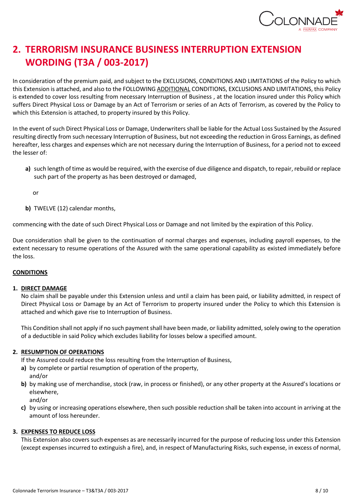

### <span id="page-7-0"></span>**2. TERRORISM INSURANCE BUSINESS INTERRUPTION EXTENSION WORDING (T3A / 003-2017)**

In consideration of the premium paid, and subject to the EXCLUSIONS, CONDITIONS AND LIMITATIONS of the Policy to which this Extension is attached, and also to the FOLLOWING ADDITIONAL CONDITIONS, EXCLUSIONS AND LIMITATIONS, this Policy is extended to cover loss resulting from necessary Interruption of Business , at the location insured under this Policy which suffers Direct Physical Loss or Damage by an Act of Terrorism or series of an Acts of Terrorism, as covered by the Policy to which this Extension is attached, to property insured by this Policy.

In the event of such Direct Physical Loss or Damage, Underwriters shall be liable for the Actual Loss Sustained by the Assured resulting directly from such necessary Interruption of Business, but not exceeding the reduction in Gross Earnings, as defined hereafter, less charges and expenses which are not necessary during the Interruption of Business, for a period not to exceed the lesser of:

- **a)** such length of time as would be required, with the exercise of due diligence and dispatch, to repair, rebuild or replace such part of the property as has been destroyed or damaged,
	- or
- **b)** TWELVE (12) calendar months,

commencing with the date of such Direct Physical Loss or Damage and not limited by the expiration of this Policy.

Due consideration shall be given to the continuation of normal charges and expenses, including payroll expenses, to the extent necessary to resume operations of the Assured with the same operational capability as existed immediately before the loss.

#### **CONDITIONS**

#### **1. DIRECT DAMAGE**

No claim shall be payable under this Extension unless and until a claim has been paid, or liability admitted, in respect of Direct Physical Loss or Damage by an Act of Terrorism to property insured under the Policy to which this Extension is attached and which gave rise to Interruption of Business.

This Condition shall not apply if no such payment shall have been made, or liability admitted, solely owing to the operation of a deductible in said Policy which excludes liability for losses below a specified amount.

#### **2. RESUMPTION OF OPERATIONS**

If the Assured could reduce the loss resulting from the Interruption of Business,

**a)** by complete or partial resumption of operation of the property,

and/or

**b)** by making use of merchandise, stock (raw, in process or finished), or any other property at the Assured's locations or elsewhere,

and/or

**c)** by using or increasing operations elsewhere, then such possible reduction shall be taken into account in arriving at the amount of loss hereunder.

#### **3. EXPENSES TO REDUCE LOSS**

This Extension also covers such expenses as are necessarily incurred for the purpose of reducing loss under this Extension (except expenses incurred to extinguish a fire), and, in respect of Manufacturing Risks, such expense, in excess of normal,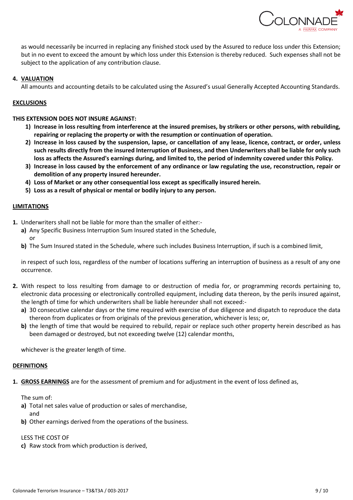

as would necessarily be incurred in replacing any finished stock used by the Assured to reduce loss under this Extension; but in no event to exceed the amount by which loss under this Extension is thereby reduced. Such expenses shall not be subject to the application of any contribution clause.

#### **4. VALUATION**

All amounts and accounting details to be calculated using the Assured's usual Generally Accepted Accounting Standards.

#### **EXCLUSIONS**

#### **THIS EXTENSION DOES NOT INSURE AGAINST:**

- **1) Increase in loss resulting from interference at the insured premises, by strikers or other persons, with rebuilding, repairing or replacing the property or with the resumption or continuation of operation.**
- **2) Increase in loss caused by the suspension, lapse, or cancellation of any lease, licence, contract, or order, unless such results directly from the insured Interruption of Business, and then Underwriters shall be liable for only such loss as affects the Assured's earnings during, and limited to, the period of indemnity covered under this Policy.**
- **3) Increase in loss caused by the enforcement of any ordinance or law regulating the use, reconstruction, repair or demolition of any property insured hereunder.**
- **4) Loss of Market or any other consequential loss except as specifically insured herein.**
- **5) Loss as a result of physical or mental or bodily injury to any person.**

#### **LIMITATIONS**

- **1.** Underwriters shall not be liable for more than the smaller of either:
	- **a)** Any Specific Business Interruption Sum Insured stated in the Schedule, or
	- **b)** The Sum Insured stated in the Schedule, where such includes Business Interruption, if such is a combined limit,

in respect of such loss, regardless of the number of locations suffering an interruption of business as a result of any one occurrence.

- **2.** With respect to loss resulting from damage to or destruction of media for, or programming records pertaining to, electronic data processing or electronically controlled equipment, including data thereon, by the perils insured against, the length of time for which underwriters shall be liable hereunder shall not exceed:
	- **a)** 30 consecutive calendar days or the time required with exercise of due diligence and dispatch to reproduce the data thereon from duplicates or from originals of the previous generation, whichever is less; or,
	- **b)** the length of time that would be required to rebuild, repair or replace such other property herein described as has been damaged or destroyed, but not exceeding twelve (12) calendar months,

whichever is the greater length of time.

#### **DEFINITIONS**

**1. GROSS EARNINGS** are for the assessment of premium and for adjustment in the event of loss defined as,

The sum of:

- **a)** Total net sales value of production or sales of merchandise, and
- **b)** Other earnings derived from the operations of the business.

#### LESS THE COST OF

**c)** Raw stock from which production is derived,